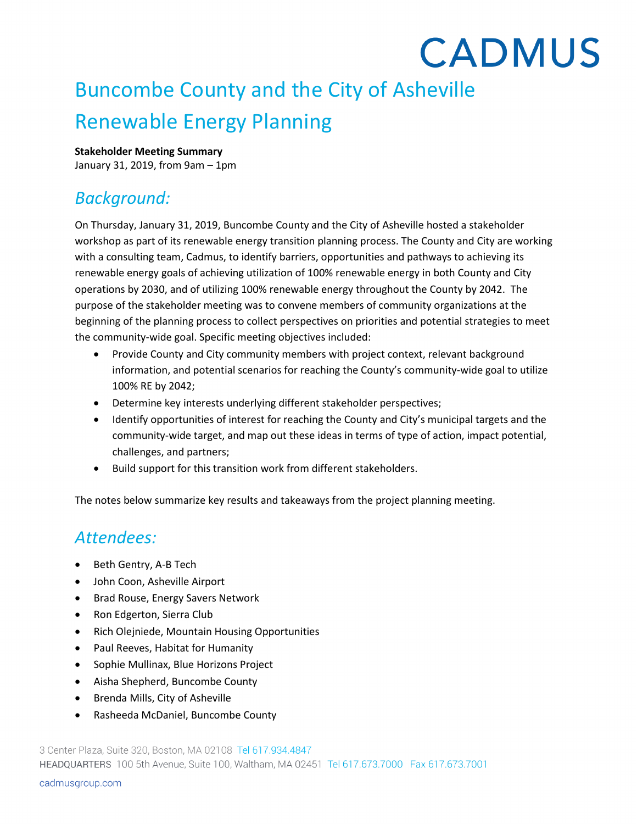# **CADMUS** Buncombe County and the City of Asheville Renewable Energy Planning

#### **Stakeholder Meeting Summary**

January 31, 2019, from 9am – 1pm

#### *Background:*

On Thursday, January 31, 2019, Buncombe County and the City of Asheville hosted a stakeholder workshop as part of its renewable energy transition planning process. The County and City are working with a consulting team, Cadmus, to identify barriers, opportunities and pathways to achieving its renewable energy goals of achieving utilization of 100% renewable energy in both County and City operations by 2030, and of utilizing 100% renewable energy throughout the County by 2042. The purpose of the stakeholder meeting was to convene members of community organizations at the beginning of the planning process to collect perspectives on priorities and potential strategies to meet the community-wide goal. Specific meeting objectives included:

- Provide County and City community members with project context, relevant background information, and potential scenarios for reaching the County's community-wide goal to utilize 100% RE by 2042;
- Determine key interests underlying different stakeholder perspectives;
- Identify opportunities of interest for reaching the County and City's municipal targets and the community-wide target, and map out these ideas in terms of type of action, impact potential, challenges, and partners;
- Build support for this transition work from different stakeholders.

The notes below summarize key results and takeaways from the project planning meeting.

#### *Attendees:*

- Beth Gentry, A-B Tech
- John Coon, Asheville Airport
- Brad Rouse, Energy Savers Network
- Ron Edgerton, Sierra Club
- Rich Olejniede, Mountain Housing Opportunities
- Paul Reeves, Habitat for Humanity
- Sophie Mullinax, Blue Horizons Project
- Aisha Shepherd, Buncombe County
- Brenda Mills, City of Asheville
- Rasheeda McDaniel, Buncombe County

3 Center Plaza, Suite 320, Boston, MA 02108 Tel 617.934.4847 HEADQUARTERS 100 5th Avenue, Suite 100, Waltham, MA 02451 Tel 617.673.7000 Fax 617.673.7001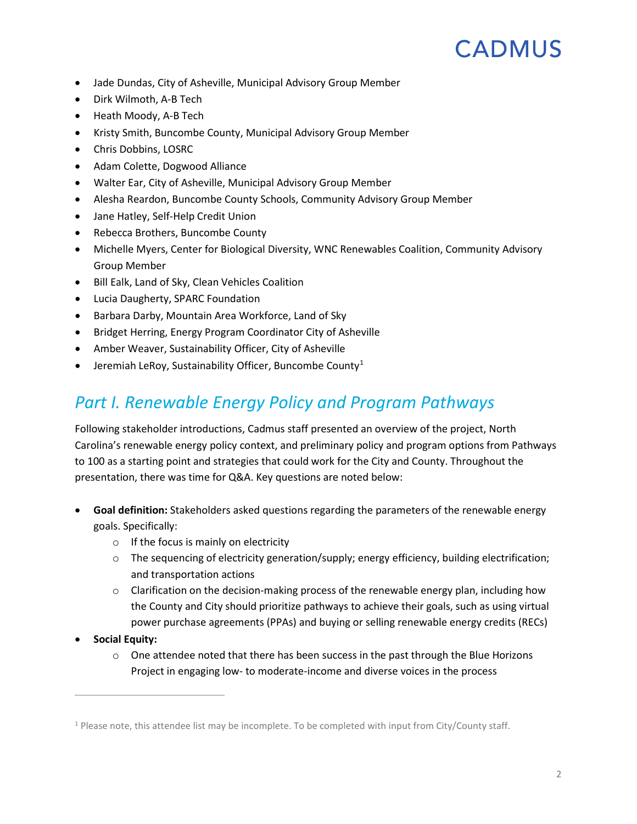- Jade Dundas, City of Asheville, Municipal Advisory Group Member
- Dirk Wilmoth, A-B Tech
- Heath Moody, A-B Tech
- Kristy Smith, Buncombe County, Municipal Advisory Group Member
- Chris Dobbins, LOSRC
- Adam Colette, Dogwood Alliance
- Walter Ear, City of Asheville, Municipal Advisory Group Member
- Alesha Reardon, Buncombe County Schools, Community Advisory Group Member
- Jane Hatley, Self-Help Credit Union
- Rebecca Brothers, Buncombe County
- Michelle Myers, Center for Biological Diversity, WNC Renewables Coalition, Community Advisory Group Member
- Bill Ealk, Land of Sky, Clean Vehicles Coalition
- Lucia Daugherty, SPARC Foundation
- Barbara Darby, Mountain Area Workforce, Land of Sky
- Bridget Herring, Energy Program Coordinator City of Asheville
- Amber Weaver, Sustainability Officer, City of Asheville
- Jeremiah LeRoy, Sustainability Officer, Buncombe County[1](#page-1-0)

#### *Part I. Renewable Energy Policy and Program Pathways*

Following stakeholder introductions, Cadmus staff presented an overview of the project, North Carolina's renewable energy policy context, and preliminary policy and program options from Pathways to 100 as a starting point and strategies that could work for the City and County. Throughout the presentation, there was time for Q&A. Key questions are noted below:

- **Goal definition:** Stakeholders asked questions regarding the parameters of the renewable energy goals. Specifically:
	- $\circ$  If the focus is mainly on electricity
	- $\circ$  The sequencing of electricity generation/supply; energy efficiency, building electrification; and transportation actions
	- $\circ$  Clarification on the decision-making process of the renewable energy plan, including how the County and City should prioritize pathways to achieve their goals, such as using virtual power purchase agreements (PPAs) and buying or selling renewable energy credits (RECs)
- **Social Equity:**

 $\overline{a}$ 

 $\circ$  One attendee noted that there has been success in the past through the Blue Horizons Project in engaging low- to moderate-income and diverse voices in the process

<span id="page-1-0"></span> $1$  Please note, this attendee list may be incomplete. To be completed with input from City/County staff.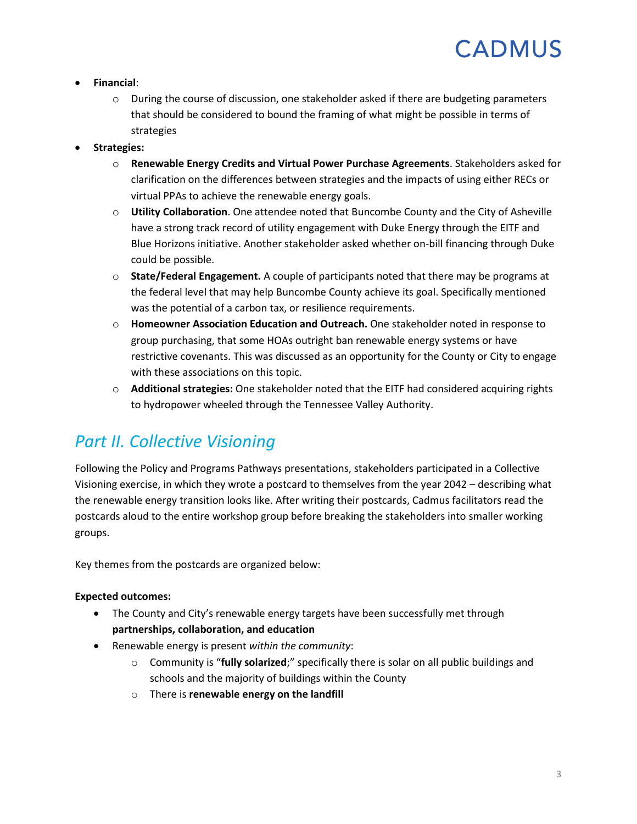#### • **Financial**:

- $\circ$  During the course of discussion, one stakeholder asked if there are budgeting parameters that should be considered to bound the framing of what might be possible in terms of strategies
- **Strategies:**
	- o **Renewable Energy Credits and Virtual Power Purchase Agreements**. Stakeholders asked for clarification on the differences between strategies and the impacts of using either RECs or virtual PPAs to achieve the renewable energy goals.
	- o **Utility Collaboration**. One attendee noted that Buncombe County and the City of Asheville have a strong track record of utility engagement with Duke Energy through the EITF and Blue Horizons initiative. Another stakeholder asked whether on-bill financing through Duke could be possible.
	- o **State/Federal Engagement.** A couple of participants noted that there may be programs at the federal level that may help Buncombe County achieve its goal. Specifically mentioned was the potential of a carbon tax, or resilience requirements.
	- o **Homeowner Association Education and Outreach.** One stakeholder noted in response to group purchasing, that some HOAs outright ban renewable energy systems or have restrictive covenants. This was discussed as an opportunity for the County or City to engage with these associations on this topic.
	- o **Additional strategies:** One stakeholder noted that the EITF had considered acquiring rights to hydropower wheeled through the Tennessee Valley Authority.

#### *Part II. Collective Visioning*

Following the Policy and Programs Pathways presentations, stakeholders participated in a Collective Visioning exercise, in which they wrote a postcard to themselves from the year 2042 – describing what the renewable energy transition looks like. After writing their postcards, Cadmus facilitators read the postcards aloud to the entire workshop group before breaking the stakeholders into smaller working groups.

Key themes from the postcards are organized below:

#### **Expected outcomes:**

- The County and City's renewable energy targets have been successfully met through **partnerships, collaboration, and education**
- Renewable energy is present *within the community*:
	- o Community is "**fully solarized**;" specifically there is solar on all public buildings and schools and the majority of buildings within the County
	- o There is **renewable energy on the landfill**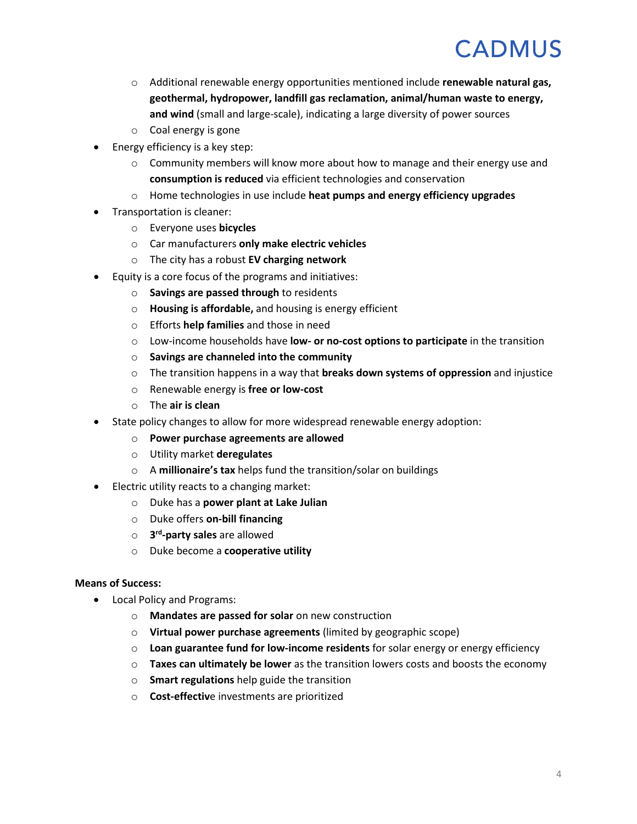- o Additional renewable energy opportunities mentioned include **renewable natural gas, geothermal, hydropower, landfill gas reclamation, animal/human waste to energy, and wind** (small and large-scale), indicating a large diversity of power sources
- o Coal energy is gone
- Energy efficiency is a key step:
	- $\circ$  Community members will know more about how to manage and their energy use and **consumption is reduced** via efficient technologies and conservation
	- o Home technologies in use include **heat pumps and energy efficiency upgrades**
- Transportation is cleaner:
	- o Everyone uses **bicycles**
	- o Car manufacturers **only make electric vehicles**
	- o The city has a robust **EV charging network**
- Equity is a core focus of the programs and initiatives:
	- o **Savings are passed through** to residents
	- o **Housing is affordable,** and housing is energy efficient
	- o Efforts **help families** and those in need
	- o Low-income households have **low- or no-cost options to participate** in the transition
	- o **Savings are channeled into the community**
	- o The transition happens in a way that **breaks down systems of oppression** and injustice
	- o Renewable energy is **free or low-cost**
	- o The **air is clean**
- State policy changes to allow for more widespread renewable energy adoption:
	- o **Power purchase agreements are allowed**
	- o Utility market **deregulates**
	- o A **millionaire's tax** helps fund the transition/solar on buildings
- Electric utility reacts to a changing market:
	- o Duke has a **power plant at Lake Julian**
	- o Duke offers **on-bill financing**
	- o **3rd-party sales** are allowed
	- o Duke become a **cooperative utility**

#### **Means of Success:**

- Local Policy and Programs:
	- o **Mandates are passed for solar** on new construction
	- o **Virtual power purchase agreements** (limited by geographic scope)
	- o **Loan guarantee fund for low-income residents** for solar energy or energy efficiency
	- o **Taxes can ultimately be lower** as the transition lowers costs and boosts the economy
	- o **Smart regulations** help guide the transition
	- o **Cost-effectiv**e investments are prioritized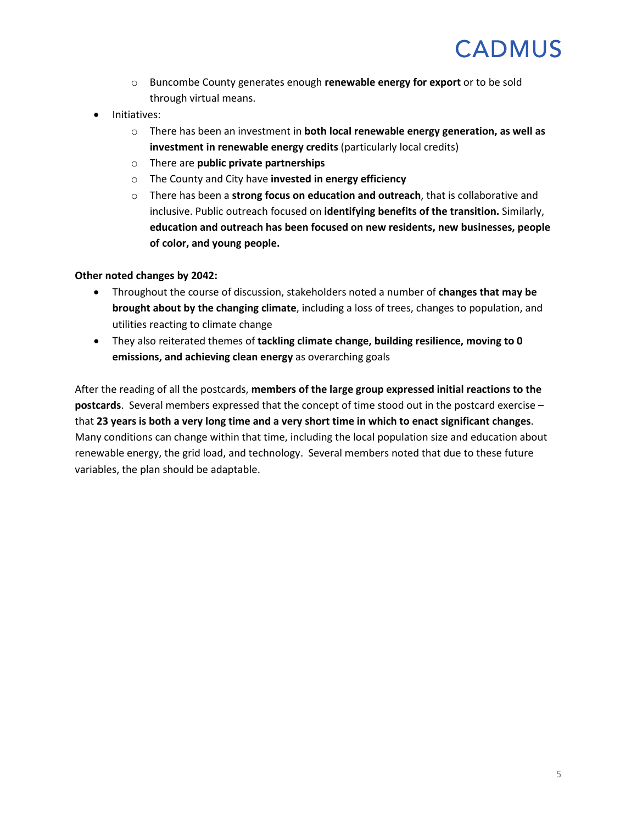- o Buncombe County generates enough **renewable energy for export** or to be sold through virtual means.
- Initiatives:
	- o There has been an investment in **both local renewable energy generation, as well as investment in renewable energy credits** (particularly local credits)
	- o There are **public private partnerships**
	- o The County and City have **invested in energy efficiency**
	- o There has been a **strong focus on education and outreach**, that is collaborative and inclusive. Public outreach focused on **identifying benefits of the transition.** Similarly, **education and outreach has been focused on new residents, new businesses, people of color, and young people.**

#### **Other noted changes by 2042:**

- Throughout the course of discussion, stakeholders noted a number of **changes that may be brought about by the changing climate**, including a loss of trees, changes to population, and utilities reacting to climate change
- They also reiterated themes of **tackling climate change, building resilience, moving to 0 emissions, and achieving clean energy** as overarching goals

After the reading of all the postcards, **members of the large group expressed initial reactions to the postcards**. Several members expressed that the concept of time stood out in the postcard exercise – that **23 years is both a very long time and a very short time in which to enact significant changes**. Many conditions can change within that time, including the local population size and education about renewable energy, the grid load, and technology. Several members noted that due to these future variables, the plan should be adaptable.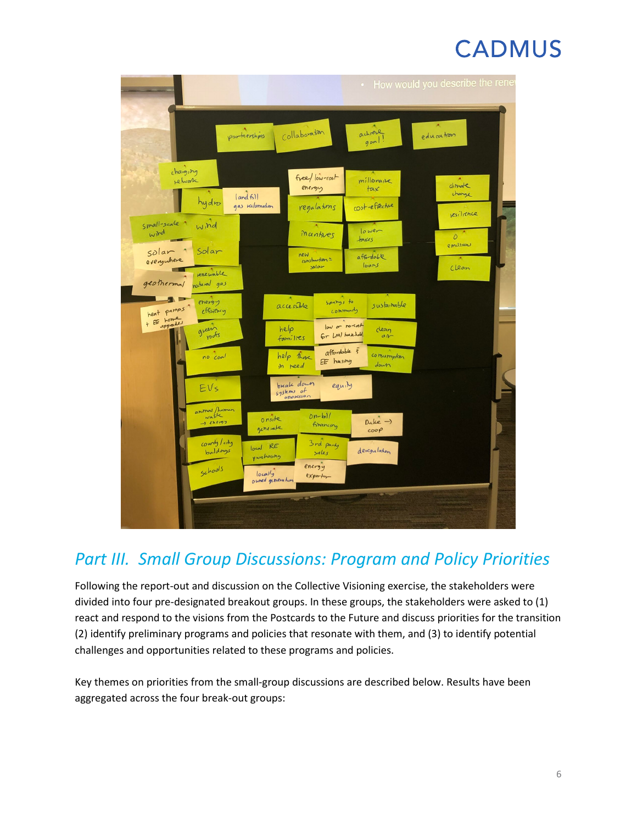|                                                               |                                                                                                 | $\bullet$                                               | How would you describe the rene             |
|---------------------------------------------------------------|-------------------------------------------------------------------------------------------------|---------------------------------------------------------|---------------------------------------------|
|                                                               | Collaboration<br>partnerships                                                                   | achreve<br>900                                          | education                                   |
| changing<br>rehvork<br>hydro                                  | free/low-rost<br>energy<br> and 61 <br>gas reclamation<br>regulating                            | millionaire<br>$\overline{\mathsf{t}}$<br>cost-effectue | dimate<br>change                            |
| small-scale<br>wind<br>wind<br>Solar                          | Mantuer                                                                                         | lower<br>taxes                                          | resilience<br>D<br>$R$ m <sub>1</sub> 3520m |
| solar<br>everywhere<br>renewable<br>geothermal<br>natural gas | new<br>construction =<br>solar                                                                  | affordable<br>loans                                     | Clean                                       |
| energy<br>heat pumps<br>effritry<br>+ EE home<br>green        | 50000000000<br>accessible<br>low or no cost<br>help                                             | sustamable<br>community<br>clean                        |                                             |
| pofs<br>no coal                                               | Gr LMI household.<br>families<br>affordable 3<br>help those<br>EE husing<br>in reed             | $a_1$<br>consumption<br>down                            |                                             |
| EVs                                                           | break down<br>equity<br>systems of<br>oppression                                                |                                                         |                                             |
| animal/himan<br>$\rightarrow$ energy<br>county/city           | $0n-b11$<br>onsite<br>firancing<br>generate<br>3rd party                                        | $Duke \rightarrow$<br>coop                              |                                             |
| buildings<br>Schools                                          | local RE<br>sales<br>purchasing<br>energy<br>locally<br>exper <sub>tr</sub><br>owned generation | dercgulation                                            |                                             |
|                                                               |                                                                                                 |                                                         |                                             |

### *Part III. Small Group Discussions: Program and Policy Priorities*

Following the report-out and discussion on the Collective Visioning exercise, the stakeholders were divided into four pre-designated breakout groups. In these groups, the stakeholders were asked to (1) react and respond to the visions from the Postcards to the Future and discuss priorities for the transition (2) identify preliminary programs and policies that resonate with them, and (3) to identify potential challenges and opportunities related to these programs and policies.

Key themes on priorities from the small-group discussions are described below. Results have been aggregated across the four break-out groups: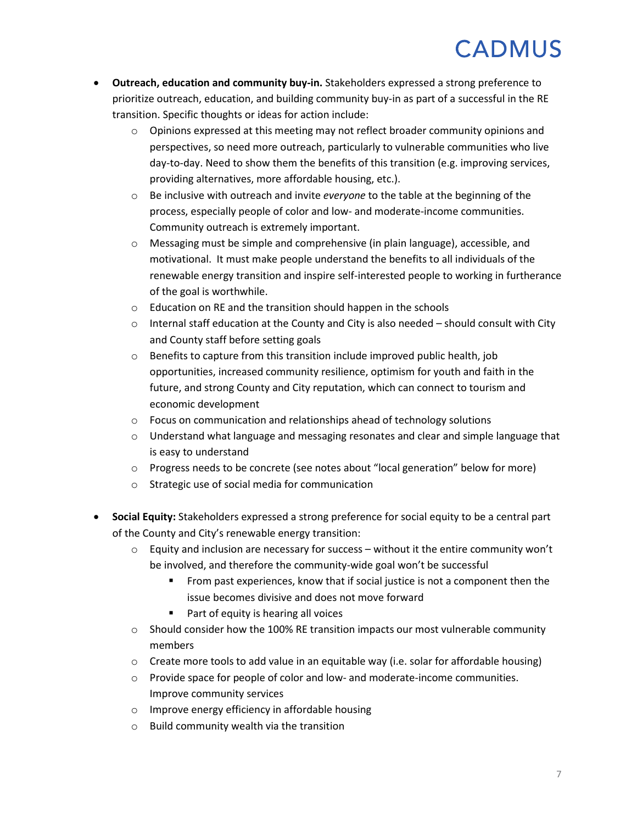- **Outreach, education and community buy-in.** Stakeholders expressed a strong preference to prioritize outreach, education, and building community buy-in as part of a successful in the RE transition. Specific thoughts or ideas for action include:
	- o Opinions expressed at this meeting may not reflect broader community opinions and perspectives, so need more outreach, particularly to vulnerable communities who live day-to-day. Need to show them the benefits of this transition (e.g. improving services, providing alternatives, more affordable housing, etc.).
	- o Be inclusive with outreach and invite *everyone* to the table at the beginning of the process, especially people of color and low- and moderate-income communities. Community outreach is extremely important.
	- $\circ$  Messaging must be simple and comprehensive (in plain language), accessible, and motivational. It must make people understand the benefits to all individuals of the renewable energy transition and inspire self-interested people to working in furtherance of the goal is worthwhile.
	- o Education on RE and the transition should happen in the schools
	- $\circ$  Internal staff education at the County and City is also needed should consult with City and County staff before setting goals
	- $\circ$  Benefits to capture from this transition include improved public health, job opportunities, increased community resilience, optimism for youth and faith in the future, and strong County and City reputation, which can connect to tourism and economic development
	- o Focus on communication and relationships ahead of technology solutions
	- $\circ$  Understand what language and messaging resonates and clear and simple language that is easy to understand
	- o Progress needs to be concrete (see notes about "local generation" below for more)
	- o Strategic use of social media for communication
- **Social Equity:** Stakeholders expressed a strong preference for social equity to be a central part of the County and City's renewable energy transition:
	- $\circ$  Equity and inclusion are necessary for success without it the entire community won't be involved, and therefore the community-wide goal won't be successful
		- **From past experiences, know that if social justice is not a component then the** issue becomes divisive and does not move forward
		- Part of equity is hearing all voices
	- $\circ$  Should consider how the 100% RE transition impacts our most vulnerable community members
	- $\circ$  Create more tools to add value in an equitable way (i.e. solar for affordable housing)
	- $\circ$  Provide space for people of color and low- and moderate-income communities. Improve community services
	- o Improve energy efficiency in affordable housing
	- o Build community wealth via the transition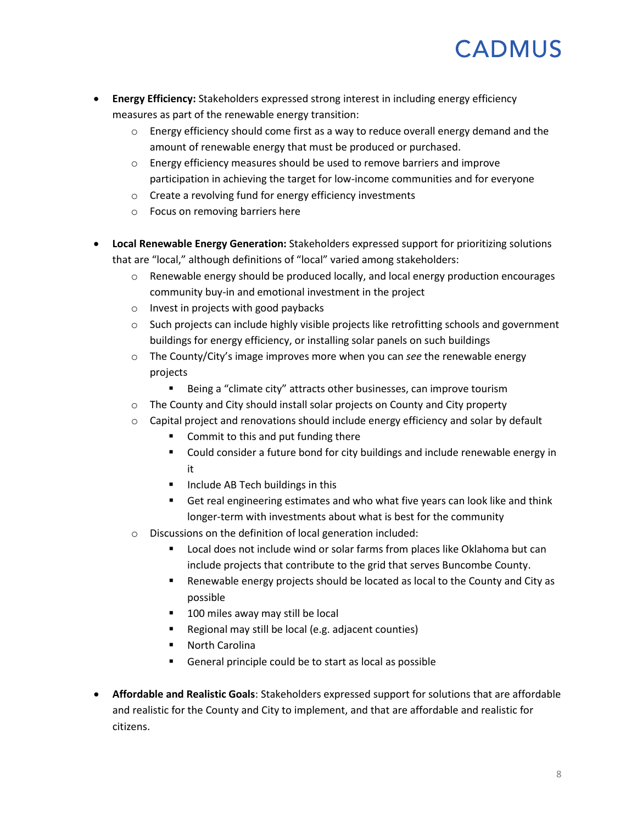- **Energy Efficiency:** Stakeholders expressed strong interest in including energy efficiency measures as part of the renewable energy transition:
	- $\circ$  Energy efficiency should come first as a way to reduce overall energy demand and the amount of renewable energy that must be produced or purchased.
	- $\circ$  Energy efficiency measures should be used to remove barriers and improve participation in achieving the target for low-income communities and for everyone
	- o Create a revolving fund for energy efficiency investments
	- o Focus on removing barriers here
- **Local Renewable Energy Generation:** Stakeholders expressed support for prioritizing solutions that are "local," although definitions of "local" varied among stakeholders:
	- $\circ$  Renewable energy should be produced locally, and local energy production encourages community buy-in and emotional investment in the project
	- o Invest in projects with good paybacks
	- $\circ$  Such projects can include highly visible projects like retrofitting schools and government buildings for energy efficiency, or installing solar panels on such buildings
	- o The County/City's image improves more when you can *see* the renewable energy projects
		- **Being a "climate city" attracts other businesses, can improve tourism**
	- o The County and City should install solar projects on County and City property
	- $\circ$  Capital project and renovations should include energy efficiency and solar by default
		- Commit to this and put funding there
		- Could consider a future bond for city buildings and include renewable energy in it
		- **Include AB Tech buildings in this**
		- Get real engineering estimates and who what five years can look like and think longer-term with investments about what is best for the community
	- o Discussions on the definition of local generation included:
		- Local does not include wind or solar farms from places like Oklahoma but can include projects that contribute to the grid that serves Buncombe County.
		- Renewable energy projects should be located as local to the County and City as possible
		- **100 miles away may still be local**
		- Regional may still be local (e.g. adjacent counties)
		- North Carolina
		- General principle could be to start as local as possible
- **Affordable and Realistic Goals**: Stakeholders expressed support for solutions that are affordable and realistic for the County and City to implement, and that are affordable and realistic for citizens.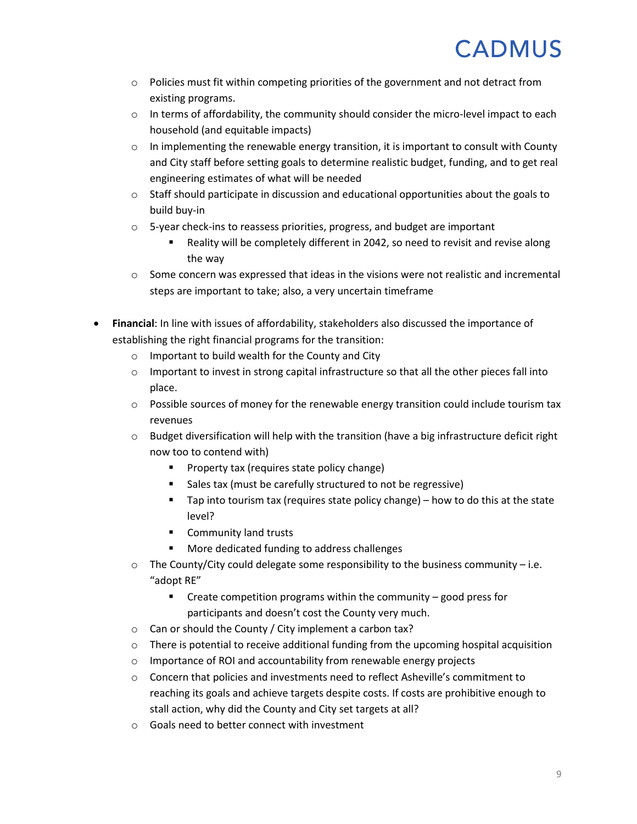- $\circ$  Policies must fit within competing priorities of the government and not detract from existing programs.
- $\circ$  In terms of affordability, the community should consider the micro-level impact to each household (and equitable impacts)
- $\circ$  In implementing the renewable energy transition, it is important to consult with County and City staff before setting goals to determine realistic budget, funding, and to get real engineering estimates of what will be needed
- $\circ$  Staff should participate in discussion and educational opportunities about the goals to build buy-in
- o 5-year check-ins to reassess priorities, progress, and budget are important
	- Reality will be completely different in 2042, so need to revisit and revise along the way
- $\circ$  Some concern was expressed that ideas in the visions were not realistic and incremental steps are important to take; also, a very uncertain timeframe
- **Financial**: In line with issues of affordability, stakeholders also discussed the importance of establishing the right financial programs for the transition:
	- o Important to build wealth for the County and City
	- $\circ$  Important to invest in strong capital infrastructure so that all the other pieces fall into place.
	- $\circ$  Possible sources of money for the renewable energy transition could include tourism tax revenues
	- $\circ$  Budget diversification will help with the transition (have a big infrastructure deficit right now too to contend with)
		- **Property tax (requires state policy change)**
		- Sales tax (must be carefully structured to not be regressive)
		- $\blacksquare$  Tap into tourism tax (requires state policy change) how to do this at the state level?
		- **Community land trusts**
		- More dedicated funding to address challenges
	- $\circ$  The County/City could delegate some responsibility to the business community i.e. "adopt RE"
		- Create competition programs within the community good press for participants and doesn't cost the County very much.
	- o Can or should the County / City implement a carbon tax?
	- $\circ$  There is potential to receive additional funding from the upcoming hospital acquisition
	- o Importance of ROI and accountability from renewable energy projects
	- o Concern that policies and investments need to reflect Asheville's commitment to reaching its goals and achieve targets despite costs. If costs are prohibitive enough to stall action, why did the County and City set targets at all?
	- o Goals need to better connect with investment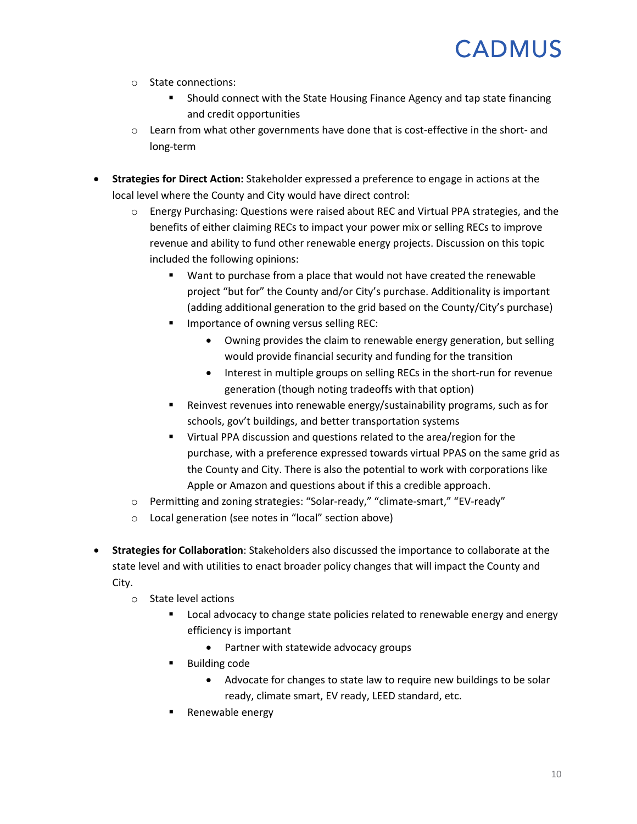- o State connections:
	- Should connect with the State Housing Finance Agency and tap state financing and credit opportunities
- $\circ$  Learn from what other governments have done that is cost-effective in the short- and long-term
- **Strategies for Direct Action:** Stakeholder expressed a preference to engage in actions at the local level where the County and City would have direct control:
	- o Energy Purchasing: Questions were raised about REC and Virtual PPA strategies, and the benefits of either claiming RECs to impact your power mix or selling RECs to improve revenue and ability to fund other renewable energy projects. Discussion on this topic included the following opinions:
		- Want to purchase from a place that would not have created the renewable project "but for" the County and/or City's purchase. Additionality is important (adding additional generation to the grid based on the County/City's purchase)
		- Importance of owning versus selling REC:
			- Owning provides the claim to renewable energy generation, but selling would provide financial security and funding for the transition
			- Interest in multiple groups on selling RECs in the short-run for revenue generation (though noting tradeoffs with that option)
		- Reinvest revenues into renewable energy/sustainability programs, such as for schools, gov't buildings, and better transportation systems
		- Virtual PPA discussion and questions related to the area/region for the purchase, with a preference expressed towards virtual PPAS on the same grid as the County and City. There is also the potential to work with corporations like Apple or Amazon and questions about if this a credible approach.
	- o Permitting and zoning strategies: "Solar-ready," "climate-smart," "EV-ready"
	- o Local generation (see notes in "local" section above)
- **Strategies for Collaboration**: Stakeholders also discussed the importance to collaborate at the state level and with utilities to enact broader policy changes that will impact the County and City.
	- o State level actions
		- Local advocacy to change state policies related to renewable energy and energy efficiency is important
			- Partner with statewide advocacy groups
		- Building code
			- Advocate for changes to state law to require new buildings to be solar ready, climate smart, EV ready, LEED standard, etc.
		- Renewable energy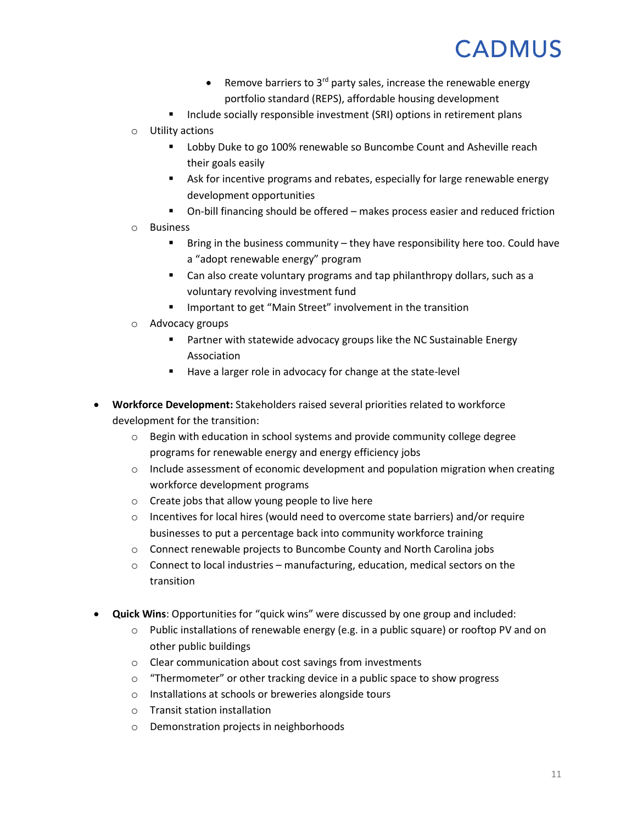- Remove barriers to  $3^{rd}$  party sales, increase the renewable energy portfolio standard (REPS), affordable housing development
- Include socially responsible investment (SRI) options in retirement plans
- o Utility actions
	- **-** Lobby Duke to go 100% renewable so Buncombe Count and Asheville reach their goals easily
	- Ask for incentive programs and rebates, especially for large renewable energy development opportunities
	- On-bill financing should be offered makes process easier and reduced friction
- o Business
	- Bring in the business community they have responsibility here too. Could have a "adopt renewable energy" program
	- Can also create voluntary programs and tap philanthropy dollars, such as a voluntary revolving investment fund
	- Important to get "Main Street" involvement in the transition
- o Advocacy groups
	- Partner with statewide advocacy groups like the NC Sustainable Energy Association
	- Have a larger role in advocacy for change at the state-level
- **Workforce Development:** Stakeholders raised several priorities related to workforce development for the transition:
	- $\circ$  Begin with education in school systems and provide community college degree programs for renewable energy and energy efficiency jobs
	- o Include assessment of economic development and population migration when creating workforce development programs
	- o Create jobs that allow young people to live here
	- $\circ$  Incentives for local hires (would need to overcome state barriers) and/or require businesses to put a percentage back into community workforce training
	- o Connect renewable projects to Buncombe County and North Carolina jobs
	- o Connect to local industries manufacturing, education, medical sectors on the transition
- **Quick Wins**: Opportunities for "quick wins" were discussed by one group and included:
	- $\circ$  Public installations of renewable energy (e.g. in a public square) or rooftop PV and on other public buildings
	- o Clear communication about cost savings from investments
	- o "Thermometer" or other tracking device in a public space to show progress
	- o Installations at schools or breweries alongside tours
	- o Transit station installation
	- o Demonstration projects in neighborhoods